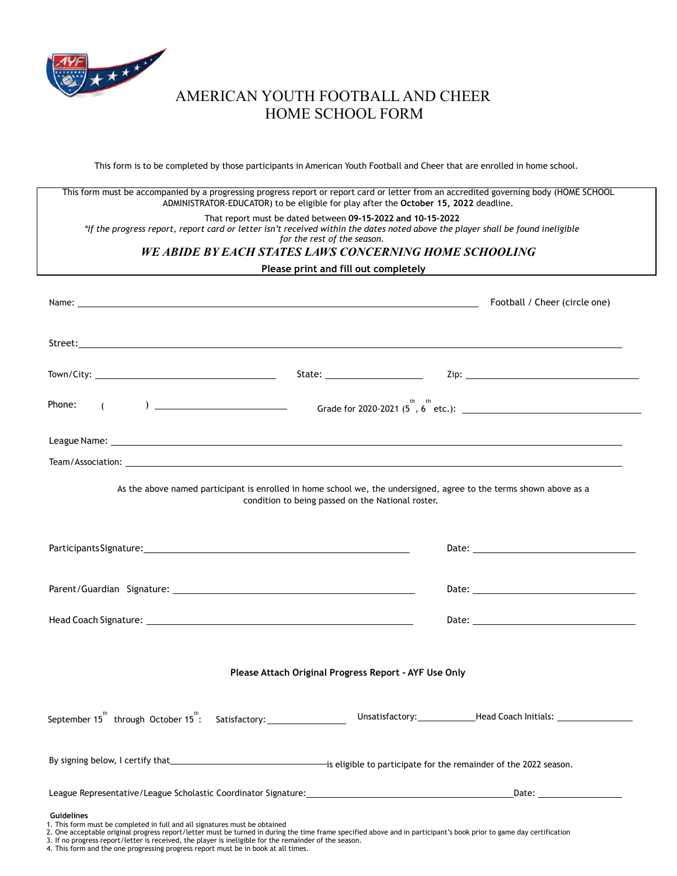

## AMERICAN YOUTH FOOTBALL AND CHEER HOME SCHOOL FORM

This form is to be completed by those participants in American Youth Football and Cheer that are enrolled in home school.

This form must be accompanied by a progressing progress report or report card or letter from an accredited governing body (HOME SCHOOL ADMINISTRATOR-EDUCATOR) to be eligible for play after the **October 15, 2022** deadline.

#### That report must be dated between **09-15-2022 and 10-15-2022**

\*If the progress report, report card or letter isn't received within the dates noted above the player shall be found ineligible

*for the rest of the season.*

### *WE ABIDE BY EACH STATES LAWS CONCERNING HOME SCHOOLING*

### **Please print and fill out completely**

| Name: the contract of the contract of the contract of the contract of the contract of the contract of the contract of the contract of the contract of the contract of the contract of the contract of the contract of the cont |  | Football / Cheer (circle one) |
|--------------------------------------------------------------------------------------------------------------------------------------------------------------------------------------------------------------------------------|--|-------------------------------|
|                                                                                                                                                                                                                                |  |                               |
|                                                                                                                                                                                                                                |  |                               |
| (a) $\overline{a}$ Grade for 2020-2021 (5 <sup>th</sup> , 6 <sup>th</sup> etc.):<br>Phone:                                                                                                                                     |  |                               |
|                                                                                                                                                                                                                                |  |                               |
|                                                                                                                                                                                                                                |  |                               |
| As the above named participant is enrolled in home school we, the undersigned, agree to the terms shown above as a<br>condition to being passed on the National roster.                                                        |  |                               |
|                                                                                                                                                                                                                                |  |                               |
|                                                                                                                                                                                                                                |  |                               |
|                                                                                                                                                                                                                                |  |                               |
| Please Attach Original Progress Report - AYF Use Only                                                                                                                                                                          |  |                               |
|                                                                                                                                                                                                                                |  |                               |
|                                                                                                                                                                                                                                |  |                               |
|                                                                                                                                                                                                                                |  |                               |
| <b>Guidelines</b><br>1. This form must be completed in full and all signatures must be obtained                                                                                                                                |  |                               |

<sup>1.</sup> This form must be completed in full and all signatures must be obtained<br>2. One acceptable original progress report/letter must be turned in during the time frame specified above and in participant's book prior to game d

<sup>3.</sup> If no progress report/letter is received, the player is ineligible for the remainder of the season. 4. This form and the one progressing progress report must be in book at all times.